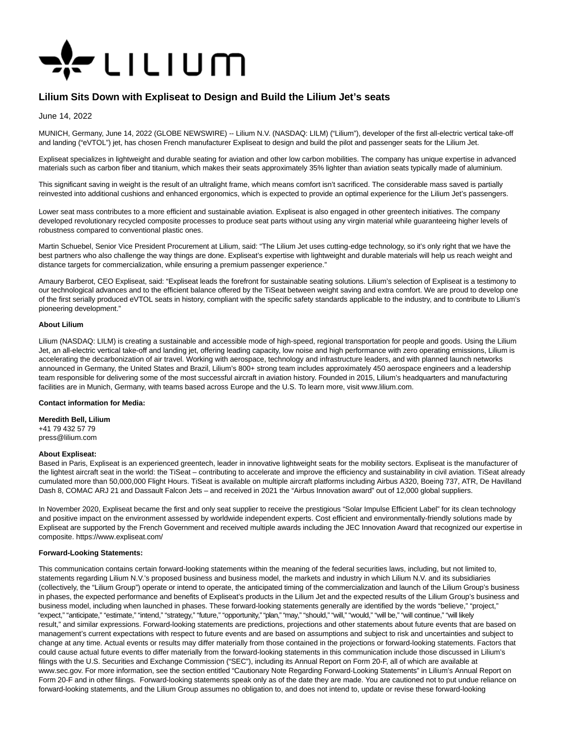

# **Lilium Sits Down with Expliseat to Design and Build the Lilium Jet's seats**

June 14, 2022

MUNICH, Germany, June 14, 2022 (GLOBE NEWSWIRE) -- Lilium N.V. (NASDAQ: LILM) ("Lilium"), developer of the first all-electric vertical take-off and landing ("eVTOL") jet, has chosen French manufacturer Expliseat to design and build the pilot and passenger seats for the Lilium Jet.

Expliseat specializes in lightweight and durable seating for aviation and other low carbon mobilities. The company has unique expertise in advanced materials such as carbon fiber and titanium, which makes their seats approximately 35% lighter than aviation seats typically made of aluminium.

This significant saving in weight is the result of an ultralight frame, which means comfort isn't sacrificed. The considerable mass saved is partially reinvested into additional cushions and enhanced ergonomics, which is expected to provide an optimal experience for the Lilium Jet's passengers.

Lower seat mass contributes to a more efficient and sustainable aviation. Expliseat is also engaged in other greentech initiatives. The company developed revolutionary recycled composite processes to produce seat parts without using any virgin material while guaranteeing higher levels of robustness compared to conventional plastic ones.

Martin Schuebel, Senior Vice President Procurement at Lilium, said: "The Lilium Jet uses cutting-edge technology, so it's only right that we have the best partners who also challenge the way things are done. Expliseat's expertise with lightweight and durable materials will help us reach weight and distance targets for commercialization, while ensuring a premium passenger experience."

Amaury Barberot, CEO Expliseat, said: "Expliseat leads the forefront for sustainable seating solutions. Lilium's selection of Expliseat is a testimony to our technological advances and to the efficient balance offered by the TiSeat between weight saving and extra comfort. We are proud to develop one of the first serially produced eVTOL seats in history, compliant with the specific safety standards applicable to the industry, and to contribute to Lilium's pioneering development."

## **About Lilium**

Lilium (NASDAQ: LILM) is creating a sustainable and accessible mode of high-speed, regional transportation for people and goods. Using the Lilium Jet, an all-electric vertical take-off and landing jet, offering leading capacity, low noise and high performance with zero operating emissions, Lilium is accelerating the decarbonization of air travel. Working with aerospace, technology and infrastructure leaders, and with planned launch networks announced in Germany, the United States and Brazil, Lilium's 800+ strong team includes approximately 450 aerospace engineers and a leadership team responsible for delivering some of the most successful aircraft in aviation history. Founded in 2015, Lilium's headquarters and manufacturing facilities are in Munich, Germany, with teams based across Europe and the U.S. To learn more, visit www.lilium.com.

#### **Contact information for Media:**

**Meredith Bell, Lilium**

+41 79 432 57 79 press@lilium.com

#### **About Expliseat:**

Based in Paris, Expliseat is an experienced greentech, leader in innovative lightweight seats for the mobility sectors. Expliseat is the manufacturer of the lightest aircraft seat in the world: the TiSeat – contributing to accelerate and improve the efficiency and sustainability in civil aviation. TiSeat already cumulated more than 50,000,000 Flight Hours. TiSeat is available on multiple aircraft platforms including Airbus A320, Boeing 737, ATR, De Havilland Dash 8, COMAC ARJ 21 and Dassault Falcon Jets – and received in 2021 the "Airbus Innovation award" out of 12,000 global suppliers.

In November 2020, Expliseat became the first and only seat supplier to receive the prestigious "Solar Impulse Efficient Label" for its clean technology and positive impact on the environment assessed by worldwide independent experts. Cost efficient and environmentally-friendly solutions made by Expliseat are supported by the French Government and received multiple awards including the JEC Innovation Award that recognized our expertise in composite. https://www.expliseat.com/

## **Forward-Looking Statements:**

This communication contains certain forward-looking statements within the meaning of the federal securities laws, including, but not limited to, statements regarding Lilium N.V.'s proposed business and business model, the markets and industry in which Lilium N.V. and its subsidiaries (collectively, the "Lilium Group") operate or intend to operate, the anticipated timing of the commercialization and launch of the Lilium Group's business in phases, the expected performance and benefits of Expliseat's products in the Lilium Jet and the expected results of the Lilium Group's business and business model, including when launched in phases. These forward-looking statements generally are identified by the words "believe," "project," "expect," "anticipate," "estimate," "intend," "strategy," "future," "opportunity," "plan," "may," "should," "will," "would," "will be," "will continue," "will likely result," and similar expressions. Forward-looking statements are predictions, projections and other statements about future events that are based on management's current expectations with respect to future events and are based on assumptions and subject to risk and uncertainties and subject to change at any time. Actual events or results may differ materially from those contained in the projections or forward-looking statements. Factors that could cause actual future events to differ materially from the forward-looking statements in this communication include those discussed in Lilium's filings with the U.S. Securities and Exchange Commission ("SEC"), including its Annual Report on Form 20-F, all of which are available at www.sec.gov. For more information, see the section entitled "Cautionary Note Regarding Forward-Looking Statements" in Lilium's Annual Report on Form 20-F and in other filings. Forward-looking statements speak only as of the date they are made. You are cautioned not to put undue reliance on forward-looking statements, and the Lilium Group assumes no obligation to, and does not intend to, update or revise these forward-looking